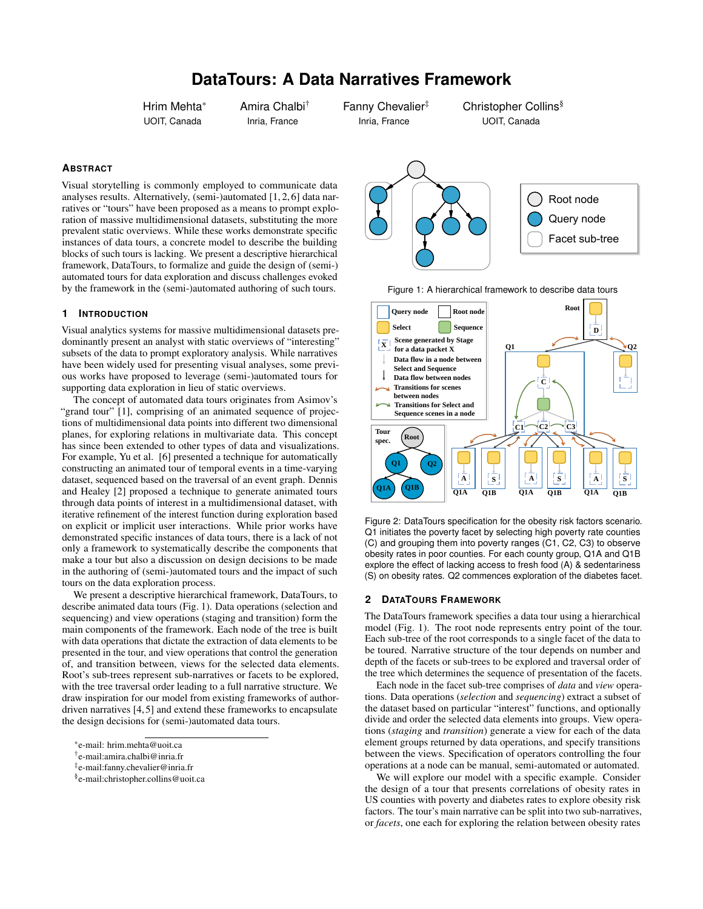# **DataTours: A Data Narratives Framework**

Hrim Mehta\* UOIT, Canada

Amira Chalbi† Inria, France

Fanny Chevalier<sup>#</sup> Inria, France

Christopher Collins§ UOIT, Canada

## **ABSTRACT**

Visual storytelling is commonly employed to communicate data analyses results. Alternatively, (semi-)automated [\[1,](#page-1-0) [2,](#page-1-1) [6\]](#page-1-2) data narratives or "tours" have been proposed as a means to prompt exploration of massive multidimensional datasets, substituting the more prevalent static overviews. While these works demonstrate specific instances of data tours, a concrete model to describe the building blocks of such tours is lacking. We present a descriptive hierarchical framework, DataTours, to formalize and guide the design of (semi-) automated tours for data exploration and discuss challenges evoked by the framework in the (semi-)automated authoring of such tours.

#### **1 INTRODUCTION**

Visual analytics systems for massive multidimensional datasets predominantly present an analyst with static overviews of "interesting" subsets of the data to prompt exploratory analysis. While narratives have been widely used for presenting visual analyses, some previous works have proposed to leverage (semi-)automated tours for supporting data exploration in lieu of static overviews.

The concept of automated data tours originates from Asimov's "grand tour" [\[1\]](#page-1-0), comprising of an animated sequence of projections of multidimensional data points into different two dimensional planes, for exploring relations in multivariate data. This concept has since been extended to other types of data and visualizations. For example, Yu et al. [\[6\]](#page-1-2) presented a technique for automatically constructing an animated tour of temporal events in a time-varying dataset, sequenced based on the traversal of an event graph. Dennis and Healey [\[2\]](#page-1-1) proposed a technique to generate animated tours through data points of interest in a multidimensional dataset, with iterative refinement of the interest function during exploration based on explicit or implicit user interactions. While prior works have demonstrated specific instances of data tours, there is a lack of not only a framework to systematically describe the components that make a tour but also a discussion on design decisions to be made in the authoring of (semi-)automated tours and the impact of such tours on the data exploration process.

We present a descriptive hierarchical framework, DataTours, to describe animated data tours [\(Fig. 1\)](#page-0-0). Data operations (selection and sequencing) and view operations (staging and transition) form the main components of the framework. Each node of the tree is built with data operations that dictate the extraction of data elements to be presented in the tour, and view operations that control the generation of, and transition between, views for the selected data elements. Root's sub-trees represent sub-narratives or facets to be explored, with the tree traversal order leading to a full narrative structure. We draw inspiration for our model from existing frameworks of authordriven narratives [\[4,](#page-1-3) [5\]](#page-1-4) and extend these frameworks to encapsulate the design decisions for (semi-)automated data tours.

- † e-mail:amira.chalbi@inria.fr
- ‡ e-mail:fanny.chevalier@inria.fr



<span id="page-0-0"></span>



<span id="page-0-1"></span>Figure 2: DataTours specification for the obesity risk factors scenario. Q1 initiates the poverty facet by selecting high poverty rate counties (C) and grouping them into poverty ranges (C1, C2, C3) to observe obesity rates in poor counties. For each county group, Q1A and Q1B explore the effect of lacking access to fresh food (A) & sedentariness (S) on obesity rates. Q2 commences exploration of the diabetes facet.

# **2 DATATOURS FRAMEWORK**

The DataTours framework specifies a data tour using a hierarchical model [\(Fig. 1\)](#page-0-0). The root node represents entry point of the tour. Each sub-tree of the root corresponds to a single facet of the data to be toured. Narrative structure of the tour depends on number and depth of the facets or sub-trees to be explored and traversal order of the tree which determines the sequence of presentation of the facets.

Each node in the facet sub-tree comprises of *data* and *view* operations. Data operations (*selection* and *sequencing*) extract a subset of the dataset based on particular "interest" functions, and optionally divide and order the selected data elements into groups. View operations (*staging* and *transition*) generate a view for each of the data element groups returned by data operations, and specify transitions between the views. Specification of operators controlling the four operations at a node can be manual, semi-automated or automated.

We will explore our model with a specific example. Consider the design of a tour that presents correlations of obesity rates in US counties with poverty and diabetes rates to explore obesity risk factors. The tour's main narrative can be split into two sub-narratives, or *facets*, one each for exploring the relation between obesity rates

<sup>\*</sup>e-mail: hrim.mehta@uoit.ca

<sup>§</sup> e-mail:christopher.collins@uoit.ca